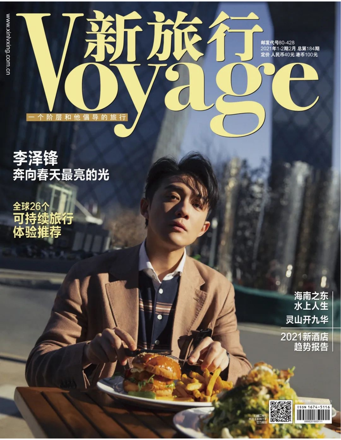

# 李泽锋<br>奔向春天最亮的光

<sub>全球26个</sub><br>可持续旅行<br>体验推荐

海南之东<br>水上人生 灵山开九华

2021新酒店 趋势报告

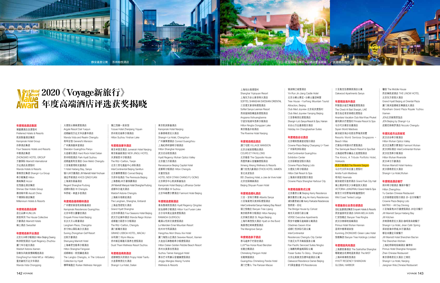## 2020《Voyage新旅行》 年度高端酒店评选获奖揭晓

#### 年度精选酒店集团

璞富腾酒店及度假村 Preferred Hotels & Resorts 凯宾斯基酒店集团 Kempinski Hotel Group 四季酒店集团 Four Seasons Hotels and Resorts 中维酒店集团 ZHONGWEI HOTEL GROUP 万豪国际 Marriott International 万达酒店及度假村 Wanda Hotels & Resorts 香格里拉集团 Shangri-La Group 希尔顿集团 Hilton 雅高集团 Accor 世茂喜达酒店集团 Shimao Star Hotels Group 雅诗阁中国 Ascott China 千禧国际酒店集团 Millennium Hotels & Resorts

#### 年度精选酒店品牌

昆仑品牌 KUNLUN 居舍系列 The House Collective 万豪酒店 Marriott Hotels 瑞士酒店 Swissôtel

#### 年度精选新开业酒店

北京大兴希尔顿酒店 Hilton Beijing Daxing 株洲凯悦酒店 Hyatt Regency Zhuzhou 厦门华尔道夫酒店 Waldorf Astoria Xiamen 弥勒东风韵美憬阁精选酒店 DongFengYun Hotel Mi'Le -MGallery 重庆融创万达文华酒店 Wanda Vista Chongqing

大理悦云雅阁度假酒店 Argyle Resort Dali Yueyun 成都融创万达文华及嘉华酒店 Wanda Vista and Realm Chengdu 将军会馆 General's Mansion 广州奥园喜来登酒店 Sheraton Guangzhou Panyu 大连硬石酒店 Hard Rock Hotel Dalian 苏州柏悦酒店 Park Hyatt Suzhou 成都盛美利亚酒店 Gran Meliá Chengdu 三亚海棠湾阳光壹酒店 1 Hotel Haitang Bay, Sanya 银川, W万豪酒店 , W Marriott Hotel Yinchuan 清远芊丽酒店 KHOS QINGYUAN 上海浦东丽晶酒店 Regent Shanghai Pudong 成都W酒店 W Chengdu 华侨城·林盘乡舍酒店

#### 年度精选值得期待酒店

广州德安丽舍凯宾斯基酒店 Kempinski Residences Guangzhou 北京华侨大厦睿世酒店 Empark Prime Hotel Beijing 长沙大王山朗豪酒店 Langham Place, Changsha 苏宁钟山国际高尔夫酒店 Suning Zhongshan Golf Resort 沈阳万豪酒店 Shenyang Marriott Hotel 上海奉贤宝能希尔顿酒店 Hilton Shanghai Fengxian 成都瑯珀·凯悦臻选酒店 The Langbo Chengdu, in The Unbound Collection by Hyatt 横琴瑞莲庄 Ruilian Wellness Hengqin

镇江茂御一泉宾馆 Yuluxe Hotel Zhenjiang Yiquan 苏州阳光城希尔顿酒店 Hilton Suzhou Yinshan Lake

#### 年度精选奢华酒店

南京卓美亚酒店 Jumeirah Hotel Nanjing 南京新晶丽酒店 NEW JINGLI HOTEL 天津丽思卡尔顿酒店 The Ritz-Carlton, Tianjin 北京三里屯通盈中心洲际酒店 InterContinental Beijing Sanlitun 北京康莱德酒店 Conrad Beijing 王府半岛酒店 The Peninsula Beijing 上海鲁能JW万豪侯爵酒店 JW Marriott Marquis Hotel Shanghai Pudong 成都华尔道夫酒店 Waldorf Astoria Chengdu 上海新天地朗廷酒店 The Langham, Shanghai, Xintiandi 上海金茂君悦大酒店 Grand Hyatt Shanghai 北京四季酒店 Four Seasons Hotel Beijing 武汉万达瑞华酒店 Wanda Reign Wuhan 成都富力丽思卡尔顿酒店 The Ritz-Carlton, Chengdu 澳门新葡京酒店 GRAND LISBOA HOTEL, MACAU 永利澳门 Wynn Macau 苏州新区都喜天丽养生度假酒店 Dusit Thani Wellness Resort Suzhou

#### 年度精选商务酒店

成都璞悦天府酒店 Projoy Hotel Tianfu 大连香格里拉大酒店 Shangri-La Hotel, Dalian

南京凯宾斯基酒店 Kempinski Hotel Nanjing 长春香格里拉大酒店 Shangri-La Hotel, Changchun 上海虹桥祥源希尔顿酒店 Hilton Shanghai Hongqiao 武汉光谷凯悦酒店 北京富力万丽酒店 Renaissance Beijing Capital Hotel 成都希尔顿酒店 Hilton Chengdu 长富宫饭店 北京燕莎中心凯宾斯基饭店

广州康莱德酒店 Conrad Guangzhou Hyatt Regency Wuhan Optics Valley HOTEL NEW OTANI CHANG FU GONG Kempinski Hotel Beijing Lufthansa Center 苏州W酒店 W Suzhou

## 北京华彬费尔蒙酒店 Fairmont Hotel Beijing

#### 年度精选度假酒店

青岛鲁商凯悦酒店 Hyatt Regency Qingdao 抚仙湖希尔顿酒店 Hilton Yuxi Fuxian Lake 古尔沟华美达温泉度假酒店 RAMADA GUERGOU 峨眉山恒邦艾美度假酒店 Le Meridien Emei Mountain Resort 杭州木守西溪酒店 Hangzhou Muh Shoou Xixi Hotel 厦门海悦山庄酒店 Seaview Resort, Xiamen 大连金石滩鲁能希尔顿度假酒店 Hilton Dalian Golden Pebble Beach Resort 苏州太美香谷里酒店 Suzhou Taimei Xiangguli Hotel 景谷芒卡熙康云舍健康度假酒店 Jinggu Mangka Xikang Yunshe

Wellness & Resorts

#### 上海怡沁园度假村

Shanghai Yiqinyuan Resort 上海东方佘山索菲特大酒店 SOFITEL SHANGHAI SHESHAN ORIENTAL 三亚理文索菲特度假酒店 Sofitel Sanya Leeman Resort 西双版纳悦椿温泉度假酒店 Angsana Xishuangbanna 宁波东钱湖华茂希尔顿酒店 Hilton Ningbo Dongqian Lake 南京隐逸水街酒店 The Riverine Hotel Nanjing

#### 年度精选精品酒店

源汀宅院 VILLAGE MANSION 北京古城老院精品酒店 COURS ET PAVILLONS 北京瑜舍 The Opposite House 西盟熙康云舍健康度假酒店 Ximeng Xikang Wellness & Resorts 厦门世茂凡象酒店 ETHOS HOTEL XIAMEN 首北兆龙饭店 BEI Zhaolong Hotel, a Joie de Vivre hotel 北京世园璞燊酒店 Beijing Shiyuan Pusen Hotel

#### 年度精选婚礼酒店

三亚·亚特兰蒂斯 Atlantis Sanya 三亚海棠湾天房洲际度假酒店 InterContinental Sanya Haitang Bay Resort 丽江悦榕庄 Banyan Tree Lijiang 南京朗昇希尔顿酒店 Hilton Nanjing 北京瑞吉酒店 St. Regis Beijing 上海外滩茂悦大酒店 Hyatt on the Bund 海棠湾红树林度假酒店 The Mangrove Sanya

#### 年度精选亲子酒店

茶马道奔子栏丽世酒店 LUX\*Tea Horse Road Benzilan 长隆企鹅酒店 Chimelong Penguin Hotel 长隆熊猫酒店 Guangzhou Chimelong Panda Hotel 澳门巴黎人 The Parisian Macao

#### 银润锦江城堡酒店 Yin Run Jin Jiang Castle Hotel 北京云峰山景区-云峰山童话树屋 Tree House -YunFeng Mountain Tourist Attraction, Beijing Club Med Joyview 北京延庆度假村 Club Med Joyview Yanqing Beijing 三亚香格里拉度假酒店 Shangri-La's Sanya Resort & Spa, Hainan 长白山万达套房假日酒店 Holiday Inn Changbaishan Suites

#### 年度精选会议酒店

北京朝阳悠唐皇冠假日酒店 Crowne Plaza Beijing Chaoyang U-Town 广州保利洲际酒店 InterContinental Guangzhou Exhibition Center 北京丽都皇冠假日酒店 Crowne Plaza Beijing Lido 大理实力希尔顿酒店 Hilton Dali Resort & Spa 上海滴水湖皇冠假日酒店 Crowne Plaza Shanghai Harbour City

#### 年度精选服务式公寓

北京嘉里公寓 Beijing Kerry Residence 静安嘉里公寓 Jing An Kerry Residences 浦东嘉里城公寓 Kerry Parkside Residences 筑桥居·后社 The Bridge House by Cohost 南京天诗居行政公寓 VERSE Executive Apartments 西安中建馨乐庭高新公寓酒店 Citadines Gaoxin Xi'an 成都仁恒洲际行政公寓 **InterContinental** Residences Chengdu City Center 宁波泛太平洋高级服务公寓 Pan Pacific Serviced Suites Ningbo 上海鹏利辉盛阁国际公寓 Fraser Suites To Glory, Shanghai 北京达美奥克伍德华庭酒店公寓 Oakwood Residence Damei Beijing IFS国金豪庭 IFS Residences

三亚奥克伍德雅居酒店公寓 Oakwood Apartments Sanya

#### 年度精选海外酒店

阿联酋沙迦艺博澈笛度假酒店 The Chedi Al Bait Sharjah, UAE 普吉岛迈考安纳塔拉度假会 Anantara Vacation Club Mai Khao Phuket 碧玛莱水疗度假村 Pimalai Resort & Spa 马尔代夫禧亚世嘉酒店 Siyam World Maldives 新加坡圣淘沙名胜世界海滨别墅 Resorts World Sentosa Singapore -Beach Villas 巴厘岛水明漾水疗度假酒店 The Seminyak Beach Resort & Spa Bali 北海道初雪谷臻品之选度假酒店 The Kiroro, A Tribute Portfolio Hotel, Hokkaido

#### 西贡万韵酒店The Reverie Saigon

马尔代夫阿米拉富士度假村 Amilla Fushi Maldives 奇玛拉 Keemala 新加坡君乐皇府酒店 Grand Park City Hall 瑞士维多利亚少女峰温泉大酒店 VICTORIA-JUNGFRAU Grand Hotel & Spa 斯里兰卡狂野海岸帐篷度假村 Wild Coast Tented Lodge

#### 年度最具社会责任感酒店

世纪金源酒店集团 Empark Hotels & Resorts 西安盛美利亚酒店 GRAN MELIA XIAN 仁安悦榕庄 Banyan Tree Ringha 武汉汉南绿地铂瑞酒店 Primus Hotel Wuhan Hannan 昆明中维翠湖宾馆 Kunming ZHONGWEI Green Lake Hotel 悦榕集团 Banyan Tree Holdings Limited

#### 年度精选风尚酒店

上海素凯泰酒店 The Sukhothai Shanghai 鄢陵建业花满地温泉酒店 The MIST 上海环球港凯悦酒店 HYATT REGENCY SHANGHAI GLOBAL HARBOR

镛舍 The Middle House 西安琳凯诺酒店 THE LINOW HOTEL 北京东方君悦大酒店 Grand Hyatt Beijing at Oriental Plaza 厦门禹洲温德姆至尊豪廷大酒店 Wyndham Grand Plaza Royale Yuzhou Xiamen JEN北京新国贸饭店 JEN Beijing by Shangri-La 成都尼依格罗酒店 Niccolo Chengdu

#### 年度抗疫杰出贡献奖

武汉光谷希尔顿酒店 Hilton Wuhan Optics Valley 武汉泛海费尔蒙酒店 Fairmont Wuhan 武汉洲际酒店 InterContinental Wuhan 武汉世茂希尔顿酒店 Hilton Wuhan Riverside 武汉卓尔万豪酒店 Wuhan Marriott Hotel Hankou 武汉香格里拉大酒店 Shangri-La Hotel,Wuhan

#### 年度精选酒店餐厅

郑州希尔顿酒店 豫园中餐厅 Hilton Zhengzhou Yu Garden Chinese Restaurant 北京丽都皇冠假日酒店 亦-全日制餐厅 Crowne Plaza Beijing Lido MATRIX - All Day Dinning 三亚海棠湾JW万豪度假酒店 JW全日餐厅 JW Marriott Sanya Haitang Bay JW Kitchen 济南香格里拉大酒店 咖啡泉自助餐厅 Shangri-La Hotel, Jinan Café Spring 深圳前海华侨城JW万豪酒店 都会尚膳全天候餐厅 JW Marriott Hotel Shenzhen Bao'an The Shenzhen Kitchen 上海虹桥绿地铂瑞酒店 臻萃轩 Primus Hotel Shanghai Hongqiao Zhen Chinese Restaurant 南京香格里拉大酒店 江南灶 Shangri-La Hotel, Nanjing Jiangnan Wok,Chinese Restaurant